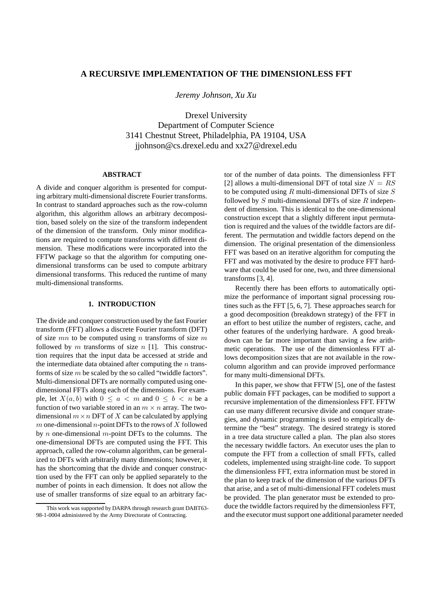# **A RECURSIVE IMPLEMENTATION OF THE DIMENSIONLESS FFT**

*Jeremy Johnson, Xu Xu*

Drexel University Department of Computer Science 3141 Chestnut Street, Philadelphia, PA 19104, USA jjohnson@cs.drexel.edu and xx27@drexel.edu

# **ABSTRACT**

A divide and conquer algorithm is presented for computing arbitrary multi-dimensional discrete Fourier transforms. In contrast to standard approaches such as the row-column algorithm, this algorithm allows an arbitrary decomposition, based solely on the size of the transform independent of the dimension of the transform. Only minor modifications are required to compute transforms with different dimension. These modifications were incorporated into the FFTW package so that the algorithm for computing onedimensional transforms can be used to compute arbitrary dimensional transforms. This reduced the runtime of many multi-dimensional transforms.

# **1. INTRODUCTION**

The divide and conquer construction used by the fast Fourier transform (FFT) allows a discrete Fourier transform (DFT) of size  $mn$  to be computed using n transforms of size m followed by  $m$  transforms of size  $n$  [1]. This construction requires that the input data be accessed at stride and the intermediate data obtained after computing the  $n$  transforms of size  $m$  be scaled by the so called "twiddle factors". Multi-dimensional DFTs are normally computed using onedimensional FFTs along each of the dimensions. For example, let  $X(a, b)$  with  $0 \le a < m$  and  $0 \le b < n$  be a function of two variable stored in an  $m \times n$  array. The twodimensional  $m \times n$  DFT of X can be calculated by applying  $m$  one-dimensional  $n$ -point DFTs to the rows of  $X$  followed by *n* one-dimensional *m*-point DFTs to the columns. The one-dimensional DFTs are computed using the FFT. This approach, called the row-column algorithm, can be generalized to DFTs with arbitrarily many dimensions; however, it has the shortcoming that the divide and conquer construction used by the FFT can only be applied separately to the number of points in each dimension. It does not allow the use of smaller transforms of size equal to an arbitrary fac-

tor of the number of data points. The dimensionless FFT [2] allows a multi-dimensional DFT of total size  $N = RS$ to be computed using  $R$  multi-dimensional DFTs of size  $S$ followed by  $S$  multi-dimensional DFTs of size  $R$  independent of dimension. This is identical to the one-dimensional construction except that a slightly different input permutation is required and the values of the twiddle factors are different. The permutation and twiddle factors depend on the dimension. The original presentation of the dimensionless FFT was based on an iterative algorithm for computing the FFT and was motivated by the desire to produce FFT hardware that could be used for one, two, and three dimensional transforms [3, 4].

Recently there has been efforts to automatically optimize the performance of important signal processing routines such as the FFT [5, 6, 7]. These approaches search for a good decomposition (breakdown strategy) of the FFT in an effort to best utilize the number of registers, cache, and other features of the underlying hardware. A good breakdown can be far more important than saving a few arithmetic operations. The use of the dimensionless FFT allows decomposition sizes that are not available in the rowcolumn algorithm and can provide improved performance for many multi-dimensional DFTs.

In this paper, we show that FFTW [5], one of the fastest public domain FFT packages, can be modified to support a recursive implementation of the dimensionless FFT. FFTW can use many different recursive divide and conquer strategies, and dynamic programming is used to empirically determine the "best" strategy. The desired strategy is stored in a tree data structure called a plan. The plan also stores the necessary twiddle factors. An executor uses the plan to compute the FFT from a collection of small FFTs, called codelets, implemented using straight-line code. To support the dimensionless FFT, extra information must be stored in the plan to keep track of the dimension of the various DFTs that arise, and a set of multi-dimensional FFT codelets must be provided. The plan generator must be extended to produce the twiddle factors required by the dimensionless FFT, and the executor must support one additional parameter needed

This work was supported by DARPA through research grant DABT63- 98-1-0004 administered by the Army Directorate of Contracting.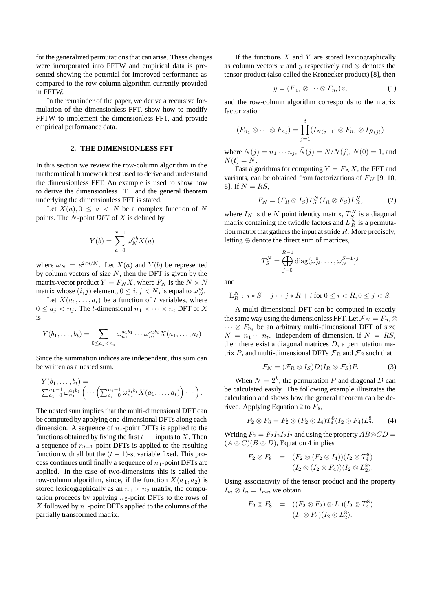for the generalized permutations that can arise. These changes were incorporated into FFTW and empirical data is presented showing the potential for improved performance as compared to the row-column algorithm currently provided in FFTW.

In the remainder of the paper, we derive a recursive formulation of the dimensionless FFT, show how to modify FFTW to implement the dimensionless FFT, and provide empirical performance data.

#### **2. THE DIMENSIONLESS FFT**

In this section we review the row-column algorithm in the mathematical framework best used to derive and understand the dimensionless FFT. An example is used to show how to derive the dimensionless FFT and the general theorem underlying the dimensionless FFT is stated.

Let  $X(a)$ ,  $0 \le a \le N$  be a complex function of N points. The N-point *DFT* of X is defined by

$$
Y(b) = \sum_{a=0}^{N-1} \omega_N^{ab} X(a)
$$

where  $\omega_N = e^{2\pi i/N}$ . Let  $X(a)$  and  $Y(b)$  be represented by column vectors of size  $N$ , then the DFT is given by the matrix-vector product  $Y = F_N X$ , where  $F_N$  is the  $N \times N$ matrix whose  $(i, j)$  element,  $0 \le i, j < N$ , is equal to  $\omega_N^{ij}$ .

Let  $X(a_1, \ldots, a_t)$  be a function of t variables, where  $0 \le a_j < n_j$ . The *t*-dimensional  $n_1 \times \cdots \times n_t$  DFT of X is

$$
Y(b_1,\ldots,b_t)=\sum_{0\leq a_j
$$

Since the summation indices are independent, this sum can be written as a nested sum.

$$
Y(b_1,\ldots,b_t) = \sum_{a_1=0}^{n_1-1} \omega_{n_1}^{a_1b_1} \left(\cdots \left(\sum_{a_t=0}^{n_t-1} \omega_{n_t}^{a_tb_t} X(a_1,\ldots,a_t)\right) \cdots\right).
$$

The nested sum implies that the multi-dimensional DFT can be computed by applying one-dimensional DFTs along each dimension. A sequence of  $n_t$ -point DFTs is applied to the functions obtained by fixing the first  $t-1$  inputs to X. Then a sequence of  $n_{t-1}$ -point DFTs is applied to the resulting function with all but the  $(t - 1)$ -st variable fixed. This process continues until finally a sequence of  $n_1$ -point DFTs are applied. In the case of two-dimensions this is called the row-column algorithm, since, if the function  $X(a_1, a_2)$  is stored lexicographically as an  $n_1 \times n_2$  matrix, the computation proceeds by applying  $n_2$ -point DFTs to the rows of X followed by  $n_1$ -point DFTs applied to the columns of the partially transformed matrix.

If the functions  $X$  and  $Y$  are stored lexicographically as column vectors x and y respectively and  $\otimes$  denotes the tensor product (also called the Kronecker product) [8], then

$$
y = (F_{n_1} \otimes \cdots \otimes F_{n_t})x, \tag{1}
$$

and the row-column algorithm corresponds to the matrix factorization

$$
(F_{n_1} \otimes \cdots \otimes F_{n_t}) = \prod_{j=1}^t (I_{N(j-1)} \otimes F_{n_j} \otimes I_{\bar{N}(j)})
$$

where  $N(j) = n_1 \cdots n_j$ ,  $\bar{N}(j) = N/N(j)$ ,  $N(0) = 1$ , and  $N(t) = N$ .

Fast algorithms for computing  $Y = F_N X$ , the FFT and variants, can be obtained from factorizations of  $F_N$  [9, 10, 8]. If  $N = RS$ ,

$$
F_N = (F_R \otimes I_S) T_S^N (I_R \otimes F_S) L_R^N, \tag{2}
$$

where  $I_N$  is the N point identity matrix,  $T_{S_1}^N$  is a diagonal matrix containing the twiddle factors and  $L_R^N$  is a permutation matrix that gathers the input at stride  $R$ . More precisely, letting ⊕ denote the direct sum of matrices,

$$
T_S^N = \bigoplus_{j=0}^{R-1} \text{diag}(\omega_N^0, \dots, \omega_N^{S-1})^j
$$

and

$$
L_R^N
$$
:  $i * S + j \mapsto j * R + i$  for  $0 \le i < R, 0 \le j < S$ .

A multi-dimensional DFT can be computed in exactly the same way using the dimensionless FFT. Let  $\mathcal{F}_N = F_{n_1} \otimes$  $\cdots \otimes F_{n_t}$  be an arbitrary multi-dimensional DFT of size  $N = n_1 \cdots n_t$ . Independent of dimension, if  $N = RS$ , then there exist a diagonal matrices  $D$ , a permutation matrix P, and multi-dimensional DFTs  $\mathcal{F}_R$  and  $\mathcal{F}_S$  such that

$$
\mathcal{F}_N = (\mathcal{F}_R \otimes I_S) D(I_R \otimes \mathcal{F}_S) P. \tag{3}
$$

When  $N = 2<sup>k</sup>$ , the permutation P and diagonal D can be calculated easily. The following example illustrates the calculation and shows how the general theorem can be derived. Applying Equation 2 to  $F_8$ ,

$$
F_2 \otimes F_8 = F_2 \otimes (F_2 \otimes I_4) T_4^8 (I_2 \otimes F_4) L_2^8. \tag{4}
$$

Writing  $F_2 = F_2I_2I_2I_2$  and using the property  $AB \otimes CD =$  $(A \otimes C)(B \otimes D)$ , Equation 4 implies

$$
F_2 \otimes F_8 = (F_2 \otimes (F_2 \otimes I_4))(I_2 \otimes T_4^8)
$$
  

$$
(I_2 \otimes (I_2 \otimes F_4))(I_2 \otimes L_2^8).
$$

Using associativity of the tensor product and the property  $I_m \otimes I_n = I_{mn}$  we obtain

$$
F_2 \otimes F_8 = ((F_2 \otimes F_2) \otimes I_4)(I_2 \otimes T_4^8)
$$
  

$$
(I_4 \otimes F_4)(I_2 \otimes L_2^8).
$$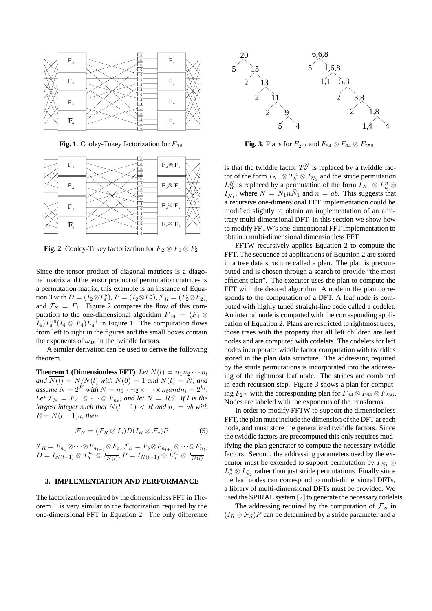

**Fig. 1**. Cooley-Tukey factorization for  $F_{16}$ 



**Fig. 2**. Cooley-Tukey factorization for  $F_2 \otimes F_4 \otimes F_2$ 

Since the tensor product of diagonal matrices is a diagonal matrix and the tensor product of permutation matrices is a permutation matrix, this example is an instance of Equation 3 with  $D = (I_2 \otimes T_4^8), P = (I_2 \otimes L_2^8), \mathcal{F}_R = (F_2 \otimes F_2),$ and  $\mathcal{F}_S = F_4$ . Figure 2 compares the flow of this computation to the one-dimensional algorithm  $F_{16} = (F_4 \otimes$  $I_4)T_4^{16}(I_4 \otimes F_4)L_4^{16}$  in Figure 1. The computation flows from left to right in the figures and the small boxes contain the exponents of  $\omega_{16}$  in the twiddle factors.

A similar derivation can be used to derive the following theorem.

**Theorem 1 (Dimensionless FFT)** *Let*  $N(l) = n_1 n_2 \cdots n_l$ *and*  $\overline{N(l)} = N/N(l)$  *with*  $N(0) = 1$  *and*  $N(t) = N$ *, and assume*  $N = 2^K$  *with*  $N = n_1 \times n_2 \times \cdots \times n_t$  *and*  $n_i = 2^{k_i}$ *. Let*  $\mathcal{F}_N = F_{n_1} \otimes \cdots \otimes F_{n_t}$ *, and let*  $N = RS$ *. If l is the largest integer such that*  $N(l - 1) < R$  *and*  $n_l = ab$  *with*  $R = N(l-1)a$ , then

$$
\mathcal{F}_N = (\mathcal{F}_R \otimes I_s) D(I_R \otimes \mathcal{F}_s) P \tag{5}
$$

 $\mathcal{F}_R = F_{n_1} \otimes \cdots \otimes F_{n_{l-1}} \otimes F_a$ ,  $\mathcal{F}_S = F_b \otimes F_{n_{l+1}} \otimes \cdots \otimes F_{n_t}$  $D = I_{N(l-1)} \otimes T_b^{n_l} \otimes I_{\overline{N(l)}}, P = I_{N(l-1)} \otimes L_a^{n_l} \otimes I_{\overline{N(l)}}.$ 

# **3. IMPLEMENTATION AND PERFORMANCE**

The factorization required by the dimensionless FFT in Theorem 1 is very similar to the factorization required by the one-dimensional FFT in Equation 2. The only difference



**Fig. 3**. Plans for  $F_{2^{20}}$  and  $F_{64} \otimes F_{64} \otimes F_{256}$ 

is that the twiddle factor  $T_S^N$  is replaced by a twiddle factor of the form  $I_{N_1} \otimes T_b^n \otimes I_{\bar{N}_1}$  and the stride permutation  $L_R^N$  is replaced by a permutation of the form  $I_{N_1} \otimes L_a^n \otimes$  $I_{\bar{N}_1}$ , where  $N = N_1 n \bar{N}_1$  and  $n = ab$ . This suggests that a recursive one-dimensional FFT implementation could be modified slightly to obtain an implementation of an arbitrary multi-dimensional DFT. In this section we show how to modify FFTW's one-dimensional FFT implementation to obtain a multi-dimensional dimensionless FFT.

FFTW recursively applies Equation 2 to compute the FFT. The sequence of applications of Equation 2 are stored in a tree data structure called a plan. The plan is precomputed and is chosen through a search to provide "the most efficient plan". The executor uses the plan to compute the FFT with the desired algorithm. A node in the plan corresponds to the computation of a DFT. A leaf node is computed with highly tuned straight-line code called a codelet. An internal node is computed with the corresponding application of Equation 2. Plans are restricted to rightmost trees, those trees with the property that all left children are leaf nodes and are computed with codelets. The codelets for left nodes incorporate twiddle factor computation with twiddles stored in the plan data structure. The addressing required by the stride permutations is incorporated into the addressing of the rightmost leaf node. The strides are combined in each recursion step. Figure 3 shows a plan for computing  $F_{2^{20}}$  with the corresponding plan for  $F_{64} \otimes F_{64} \otimes F_{256}$ . Nodes are labeled with the exponents of the transforms.

In order to modify FFTW to support the dimensionless FFT, the plan must include the dimension of the DFT at each node, and must store the generalized twiddle factors. Since the twiddle factors are precomputed this only requires modifying the plan generator to compute the necessary twiddle factors. Second, the addressing parameters used by the executor must be extended to support permutation by  $I_{N_1} \otimes$  $L_a^n \otimes I_{\bar{N}_2}$  rather than just stride permutations. Finally since the leaf nodes can correspond to multi-dimensional DFTs, a library of multi-dimensional DFTs must be provided. We used the SPIRAL system [7] to generate the necessary codelets.

The addressing required by the computation of  $\mathcal{F}_S$  in  $(I_R \otimes \mathcal{F}_S)P$  can be determined by a stride parameter and a